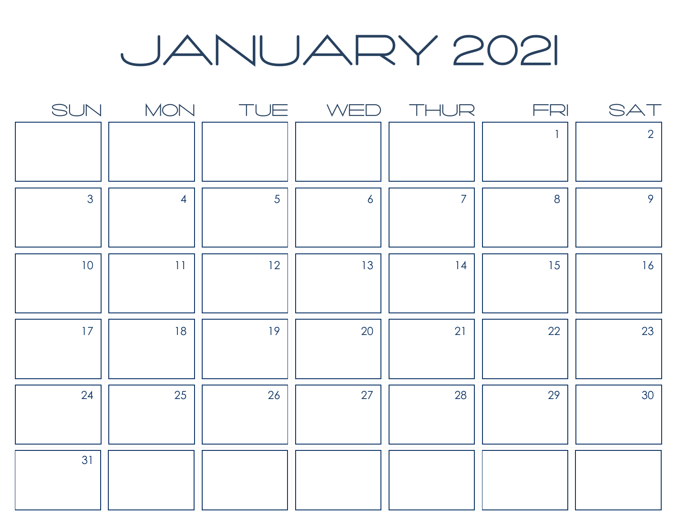JANUARY 2021

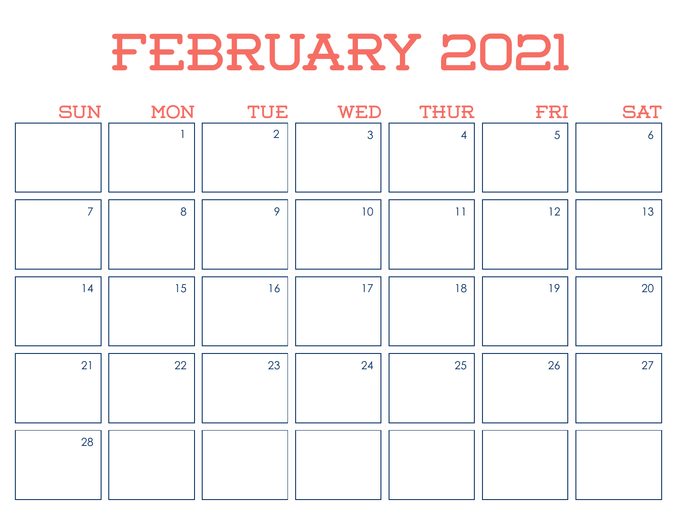## February 2021

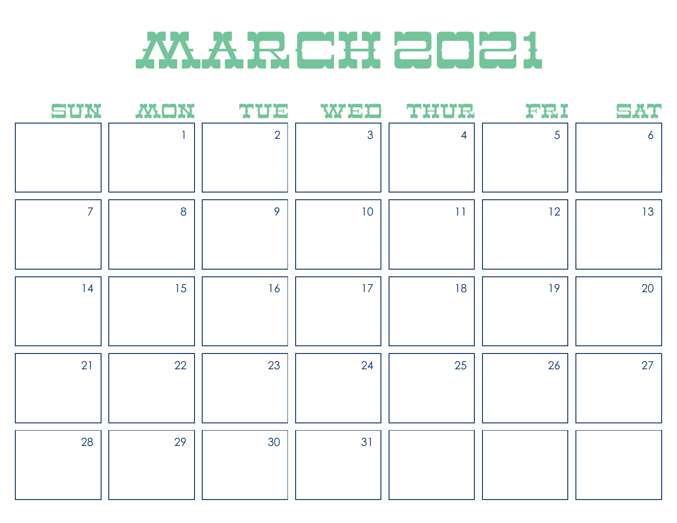## **MARCH 2021**

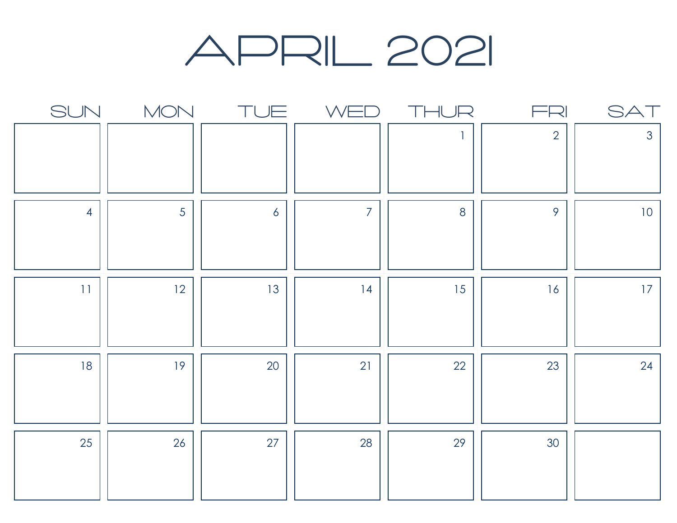#### april 2021

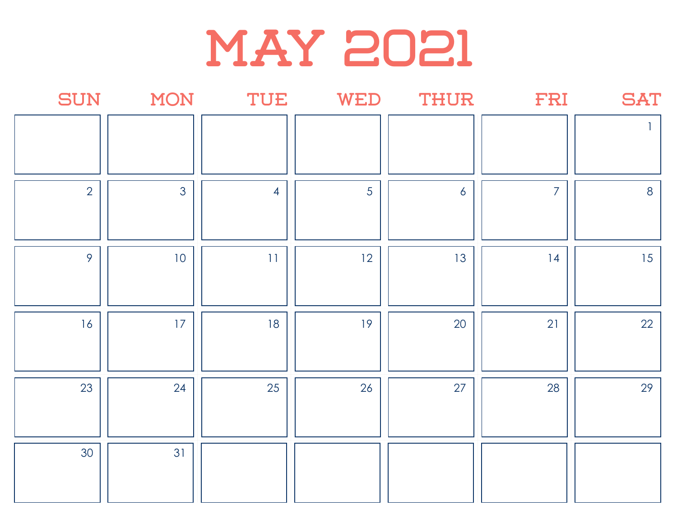

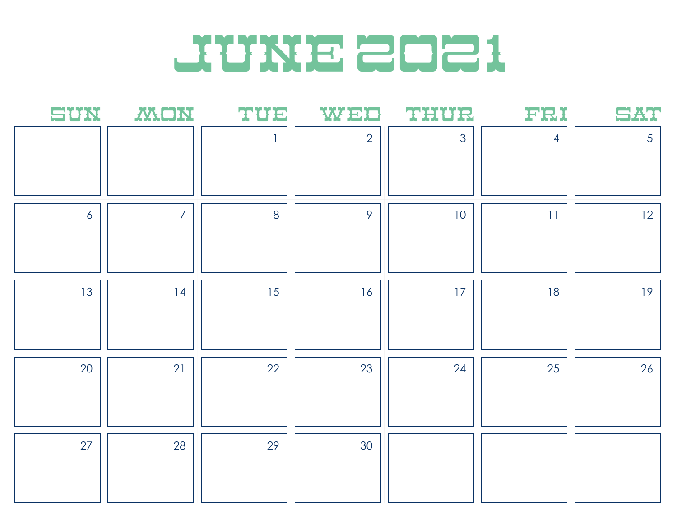

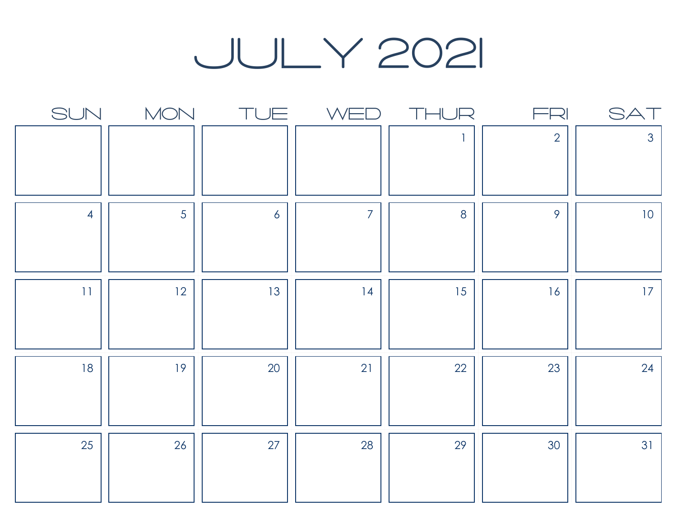### july 2021

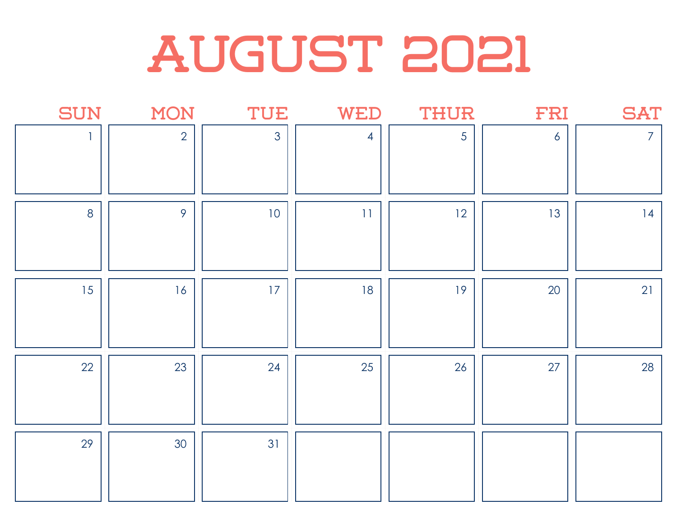# AUGUST 2021

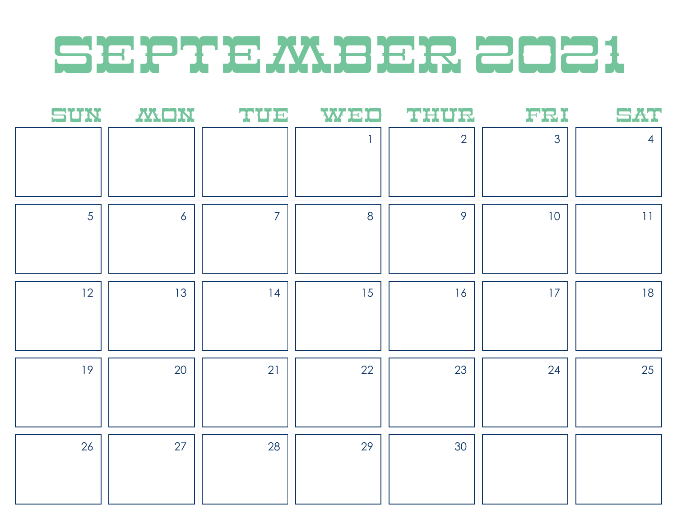## SEPTEMBER 2021

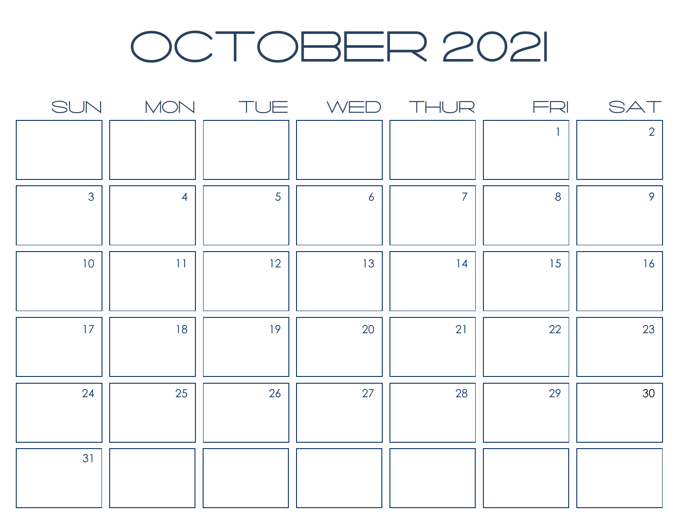### OCTOBER 2021

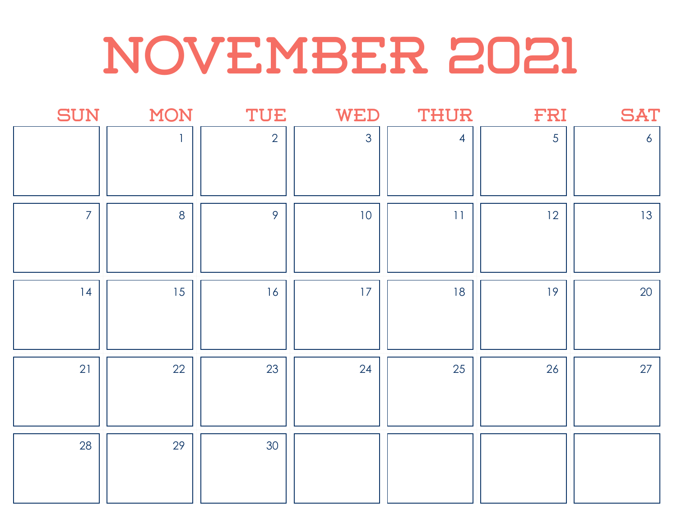# november 2021